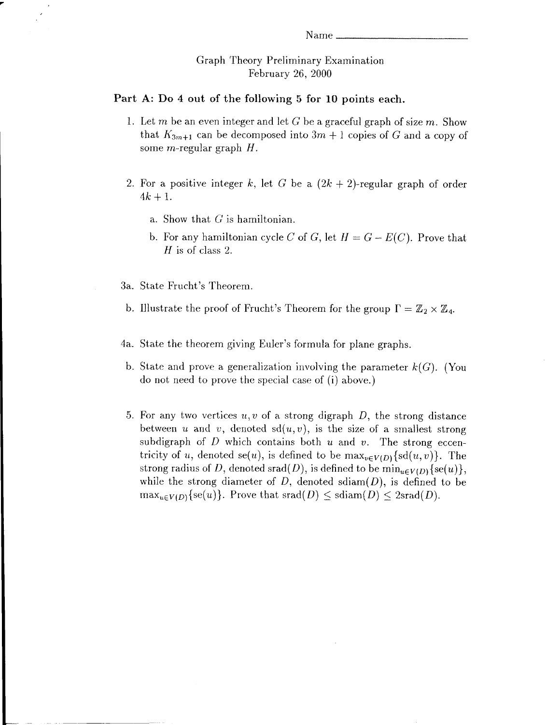## Graph Theory Preliminary Examination Februarv 26. 2000

## Part A: Do 4 out of the following 5 for 10 points each.

- 1. Let m be an even integer and let G be a graceful graph of size m. Show that  $K_{3m+1}$  can be decomposed into  $3m+1$  copies of G and a copy of some *m*-regular graph  $H$ .
- 2. For a positive integer k, let G be a  $(2k + 2)$ -regular graph of order  $4k+1$ .
	- a. Show that  $G$  is hamiltonian.
	- b. For any hamiltonian cycle C of G, let  $H = G E(C)$ . Prove that H is of class 2.
- State Frucht's Theorem. 3a.
- b. Illustrate the proof of Frucht's Theorem for the group  $\Gamma = \mathbb{Z}_2 \times \mathbb{Z}_4$ .
- 4a. State the theorem giving Euler's formula for plane graphs.
- b. State and prove a generalization involving the parameter  $k(G)$ . (You do not need to prove the special case of (i) above.)
- 5. For any two vertices  $u, v$  of a strong digraph  $D$ , the strong distance between u and v, denoted  $sd(u, v)$ , is the size of a smallest strong subdigraph of  $D$  which contains both  $u$  and  $v$ . The strong eccentricity of u, denoted se(u), is defined to be  $\max_{v \in V(D)} \{ sd(u,v)\}\$ . The strong radius of D, denoted srad(D), is defined to be  $\min_{u \in V(D)}\{se(u)\},\$ while the strong diameter of  $D$ , denoted sdiam $(D)$ , is defined to be  $\max_{u \in V(D)} \{se(u)\}\$ . Prove that  $srad(D) \leq sdiam(D) \leq 2srad(D)$ .